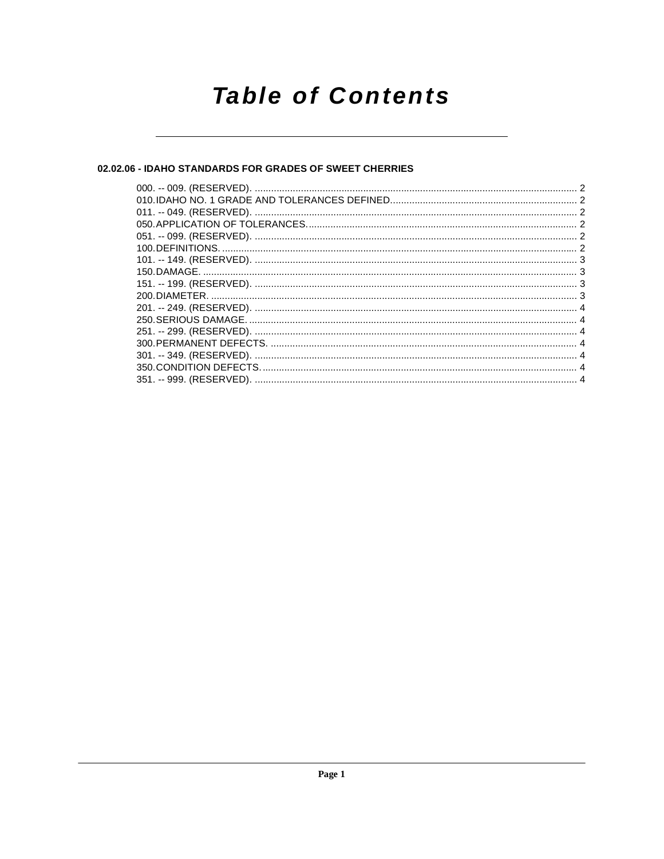# **Table of Contents**

# 02.02.06 - IDAHO STANDARDS FOR GRADES OF SWEET CHERRIES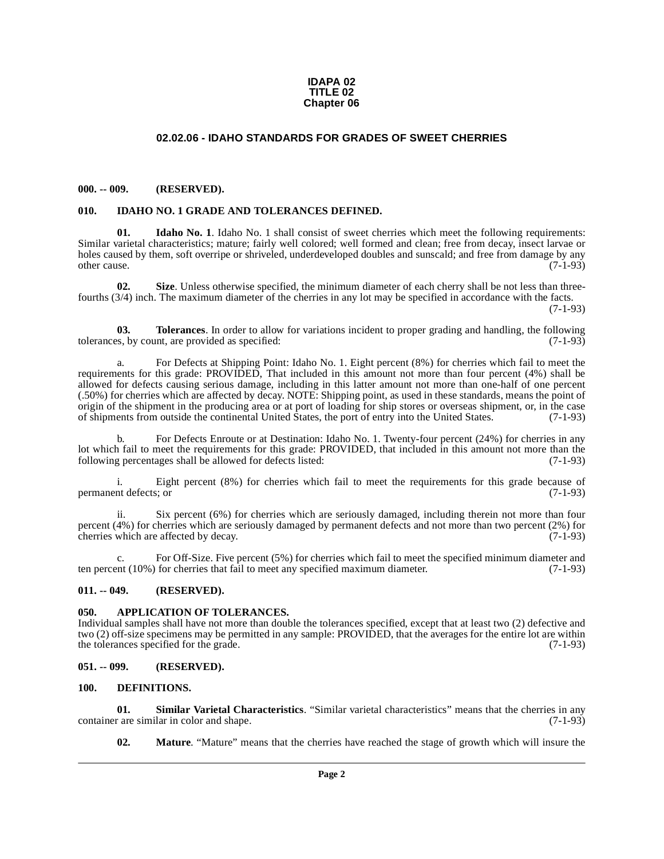# **IDAPA 02 TITLE 02 Chapter 06**

# **02.02.06 - IDAHO STANDARDS FOR GRADES OF SWEET CHERRIES**

#### <span id="page-1-1"></span><span id="page-1-0"></span>**000. -- 009. (RESERVED).**

#### <span id="page-1-9"></span><span id="page-1-2"></span>**010. IDAHO NO. 1 GRADE AND TOLERANCES DEFINED.**

<span id="page-1-10"></span>**01. Idaho No. 1**. Idaho No. 1 shall consist of sweet cherries which meet the following requirements: Similar varietal characteristics; mature; fairly well colored; well formed and clean; free from decay, insect larvae or holes caused by them, soft overripe or shriveled, underdeveloped doubles and sunscald; and free from damage by any other cause. (7-1-93)

<span id="page-1-13"></span>**02. Size**. Unless otherwise specified, the minimum diameter of each cherry shall be not less than threefourths (3/4) inch. The maximum diameter of the cherries in any lot may be specified in accordance with the facts.

(7-1-93)

<span id="page-1-14"></span>**03. Tolerances**. In order to allow for variations incident to proper grading and handling, the following ss, by count, are provided as specified: (7-1-93) tolerances, by count, are provided as specified:

For Defects at Shipping Point: Idaho No. 1. Eight percent (8%) for cherries which fail to meet the requirements for this grade: PROVIDED, That included in this amount not more than four percent (4%) shall be allowed for defects causing serious damage, including in this latter amount not more than one-half of one percent (.50%) for cherries which are affected by decay. NOTE: Shipping point, as used in these standards, means the point of origin of the shipment in the producing area or at port of loading for ship stores or overseas shipment, or, in the case of shipments from outside the continental United States, the port of entry into the United States. (7-1-93)

b. For Defects Enroute or at Destination: Idaho No. 1. Twenty-four percent (24%) for cherries in any lot which fail to meet the requirements for this grade: PROVIDED, that included in this amount not more than the following percentages shall be allowed for defects listed: (7-1-93)

i. Eight percent (8%) for cherries which fail to meet the requirements for this grade because of permanent defects; or (7-1-93)

ii. Six percent (6%) for cherries which are seriously damaged, including therein not more than four percent (4%) for cherries which are seriously damaged by permanent defects and not more than two percent (2%) for cherries which are affected by decay. (7-1-93) cherries which are affected by decay.

c. For Off-Size. Five percent (5%) for cherries which fail to meet the specified minimum diameter and ten percent (10%) for cherries that fail to meet any specified maximum diameter. (7-1-93)

# <span id="page-1-3"></span>**011. -- 049. (RESERVED).**

#### <span id="page-1-7"></span><span id="page-1-4"></span>**050. APPLICATION OF TOLERANCES.**

Individual samples shall have not more than double the tolerances specified, except that at least two (2) defective and two (2) off-size specimens may be permitted in any sample: PROVIDED, that the averages for the entire lot are within the tolerances specified for the grade. (7-1-93) the tolerances specified for the grade.

#### <span id="page-1-5"></span>**051. -- 099. (RESERVED).**

## <span id="page-1-8"></span><span id="page-1-6"></span>**100. DEFINITIONS.**

**01. Similar Varietal Characteristics**. "Similar varietal characteristics" means that the cherries in any container are similar in color and shape. (7-1-93)

<span id="page-1-12"></span><span id="page-1-11"></span>**02. Mature**. "Mature" means that the cherries have reached the stage of growth which will insure the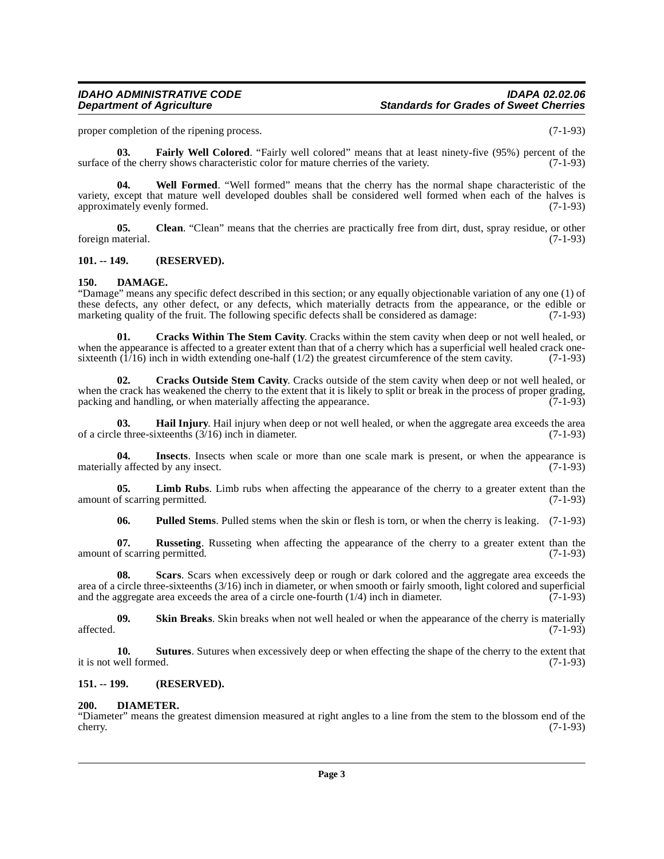proper completion of the ripening process. (7-1-93)

<span id="page-2-9"></span>**03. Fairly Well Colored**. "Fairly well colored" means that at least ninety-five (95%) percent of the surface of the cherry shows characteristic color for mature cherries of the variety. (7-1-93)

<span id="page-2-18"></span>**04. Well Formed**. "Well formed" means that the cherry has the normal shape characteristic of the variety, except that mature well developed doubles shall be considered well formed when each of the halves is approximately evenly formed. (7-1-93)

<span id="page-2-4"></span>**05.** Clean. "Clean" means that the cherries are practically free from dirt, dust, spray residue, or other foreign material. (7-1-93)

# <span id="page-2-0"></span>**101. -- 149. (RESERVED).**

# <span id="page-2-7"></span><span id="page-2-1"></span>**150. DAMAGE.**

"Damage" means any specific defect described in this section; or any equally objectionable variation of any one (1) of these defects, any other defect, or any defects, which materially detracts from the appearance, or the edible or marketing quality of the fruit. The following specific defects shall be considered as damage: (7-1-93) marketing quality of the fruit. The following specific defects shall be considered as damage:

<span id="page-2-6"></span>**01. Cracks Within The Stem Cavity**. Cracks within the stem cavity when deep or not well healed, or when the appearance is affected to a greater extent than that of a cherry which has a superficial well healed crack one-<br>sixteenth  $(1/16)$  inch in width extending one-half  $(1/2)$  the greatest circumference of the stem c sixteenth  $(1/16)$  inch in width extending one-half  $(1/2)$  the greatest circumference of the stem cavity.

<span id="page-2-5"></span>**02. Cracks Outside Stem Cavity**. Cracks outside of the stem cavity when deep or not well healed, or when the crack has weakened the cherry to the extent that it is likely to split or break in the process of proper grading, packing and handling, or when materially affecting the appearance. (7-1-93) packing and handling, or when materially affecting the appearance.

<span id="page-2-10"></span>**03. Hail Injury**. Hail injury when deep or not well healed, or when the aggregate area exceeds the area of a circle three-sixteenths  $(3/16)$  inch in diameter. (7-1-93)

<span id="page-2-11"></span>**04. Insects**. Insects when scale or more than one scale mark is present, or when the appearance is materially affected by any insect. (7-1-93)

**05.** Limb Rubs. Limb rubs when affecting the appearance of the cherry to a greater extent than the of scarring permitted. (7-1-93) amount of scarring permitted.

<span id="page-2-15"></span><span id="page-2-14"></span><span id="page-2-13"></span><span id="page-2-12"></span>**06. Pulled Stems**. Pulled stems when the skin or flesh is torn, or when the cherry is leaking. (7-1-93)

**07. Russeting**. Russeting when affecting the appearance of the cherry to a greater extent than the of scarring permitted. (7-1-93) amount of scarring permitted.

**08. Scars**. Scars when excessively deep or rough or dark colored and the aggregate area exceeds the area of a circle three-sixteenths  $(3/16)$  inch in diameter, or when smooth or fairly smooth, light colored and superficial and the aggregate area exceeds the area of a circle one-fourth  $(1/4)$  inch in diameter.  $(7-1-93$ and the aggregate area exceeds the area of a circle one-fourth  $(1/4)$  inch in diameter.

<span id="page-2-16"></span>**09. Skin Breaks**. Skin breaks when not well healed or when the appearance of the cherry is materially  $\text{affected.}$  (7-1-93)

<span id="page-2-17"></span>**10. Sutures**. Sutures when excessively deep or when effecting the shape of the cherry to the extent that *(*7-1-93) it is not well formed.

# <span id="page-2-2"></span>**151. -- 199. (RESERVED).**

# <span id="page-2-8"></span><span id="page-2-3"></span>**200. DIAMETER.**

"Diameter" means the greatest dimension measured at right angles to a line from the stem to the blossom end of the cherry.  $(7-1-93)$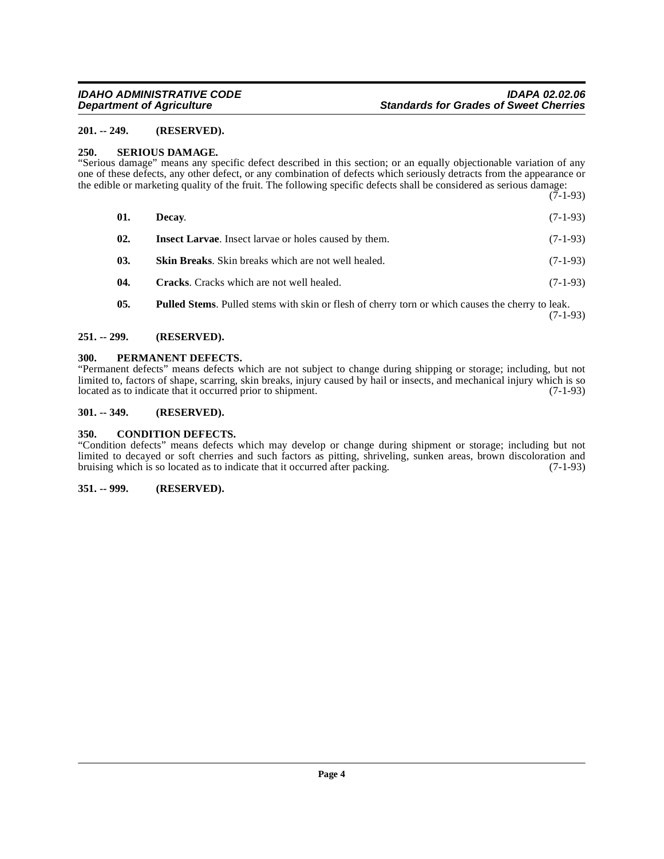(7-1-93)

# <span id="page-3-0"></span>**201. -- 249. (RESERVED).**

# <span id="page-3-13"></span><span id="page-3-1"></span>**250. SERIOUS DAMAGE.**

"Serious damage" means any specific defect described in this section; or an equally objectionable variation of any one of these defects, any other defect, or any combination of defects which seriously detracts from the appearance or the edible or marketing quality of the fruit. The following specific defects shall be considered as serious damage:  $(7-1-93)$ 

<span id="page-3-14"></span><span id="page-3-10"></span><span id="page-3-9"></span><span id="page-3-8"></span>

| 01. | Decay.                                                                                                  | $(7-1-93)$ |
|-----|---------------------------------------------------------------------------------------------------------|------------|
| 02. | <b>Insect Larvae.</b> Insect larvae or holes caused by them.                                            | $(7-1-93)$ |
| 03. | <b>Skin Breaks.</b> Skin breaks which are not well healed.                                              | $(7-1-93)$ |
| 04. | <b>Cracks.</b> Cracks which are not well healed.                                                        | $(7-1-93)$ |
| 05. | <b>Pulled Stems.</b> Pulled stems with skin or flesh of cherry torn or which causes the cherry to leak. |            |

# <span id="page-3-12"></span><span id="page-3-2"></span>**251. -- 299. (RESERVED).**

# <span id="page-3-11"></span><span id="page-3-3"></span>**300. PERMANENT DEFECTS.**

"Permanent defects" means defects which are not subject to change during shipping or storage; including, but not limited to, factors of shape, scarring, skin breaks, injury caused by hail or insects, and mechanical injury which is so located as to indicate that it occurred prior to shipment. (7-1-93)

# <span id="page-3-4"></span>**301. -- 349. (RESERVED).**

# <span id="page-3-7"></span><span id="page-3-5"></span>**350. CONDITION DEFECTS.**

"Condition defects" means defects which may develop or change during shipment or storage; including but not limited to decayed or soft cherries and such factors as pitting, shriveling, sunken areas, brown discoloration and bruising which is so located as to indicate that it occurred after packing. (7-1-93)

# <span id="page-3-6"></span>**351. -- 999. (RESERVED).**